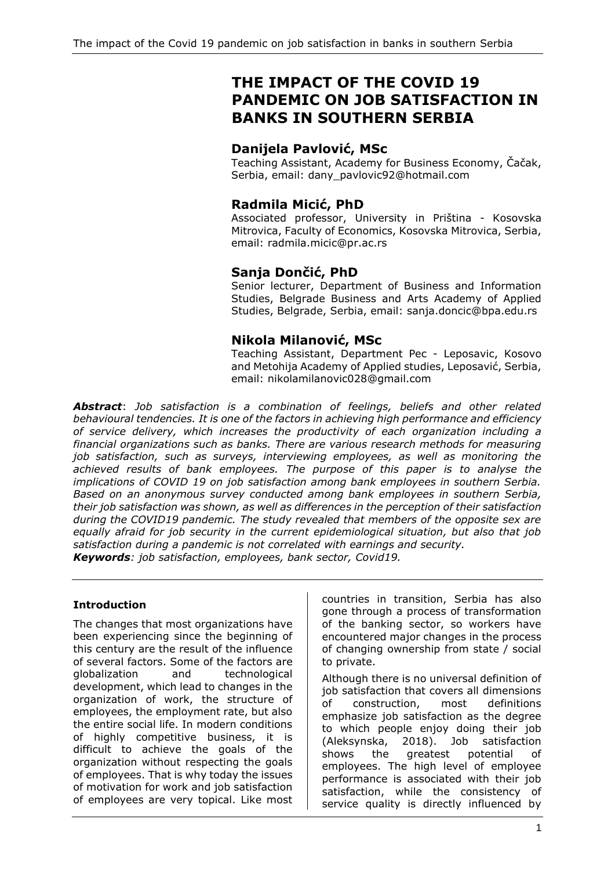# **THE IMPACT OF THE COVID 19 PANDEMIC ON JOB SATISFACTION IN BANKS IN SOUTHERN SERBIA**

# **Danijela Pavlović, MSc**

Teaching Assistant, Academy for Business Economy, Čačak, Serbia, email: dany\_pavlovic92@hotmail.com

# **Radmila Micić, PhD**

Associated professor, University in Priština - Kosovska Mitrovica, Faculty of Economics, Kosovska Mitrovica, Serbia, email: radmila.micic@pr.ac.rs

# **Sanja Dončić, PhD**

Senior lecturer, Department of Business and Information Studies, Belgrade Business and Arts Academy of Applied Studies, Belgrade, Serbia, email: sanja.doncic@bpa.edu.rs

# **Nikola Milanović, MSc**

Teaching Assistant, Department Pec - Leposavic, Kosovo and Metohija Academy of Applied studies, Leposavić, Serbia, email: nikolamilanovic028@gmail.com

*Abstract*: *Job satisfaction is a combination of feelings, beliefs and other related behavioural tendencies. It is one of the factors in achieving high performance and efficiency of service delivery, which increases the productivity of each organization including a financial organizations such as banks. There are various research methods for measuring job satisfaction, such as surveys, interviewing employees, as well as monitoring the achieved results of bank employees. The purpose of this paper is to analyse the implications of COVID 19 on job satisfaction among bank employees in southern Serbia. Based on an anonymous survey conducted among bank employees in southern Serbia, their job satisfaction was shown, as well as differences in the perception of their satisfaction during the COVID19 pandemic. The study revealed that members of the opposite sex are equally afraid for job security in the current epidemiological situation, but also that job satisfaction during a pandemic is not correlated with earnings and security. Keywords: job satisfaction, employees, bank sector, Covid19.*

### **Introduction**

The changes that most organizations have been experiencing since the beginning of this century are the result of the influence of several factors. Some of the factors are globalization and technological development, which lead to changes in the organization of work, the structure of employees, the employment rate, but also the entire social life. In modern conditions of highly competitive business, it is difficult to achieve the goals of the organization without respecting the goals of employees. That is why today the issues of motivation for work and job satisfaction of employees are very topical. Like most

countries in transition, Serbia has also gone through a process of transformation of the banking sector, so workers have encountered major changes in the process of changing ownership from state / social to private.

Although there is no universal definition of job satisfaction that covers all dimensions of construction, most definitions emphasize job satisfaction as the degree to which people enjoy doing their job (Aleksynska, 2018). Job satisfaction shows the greatest potential of employees. The high level of employee performance is associated with their job satisfaction, while the consistency of service quality is directly influenced by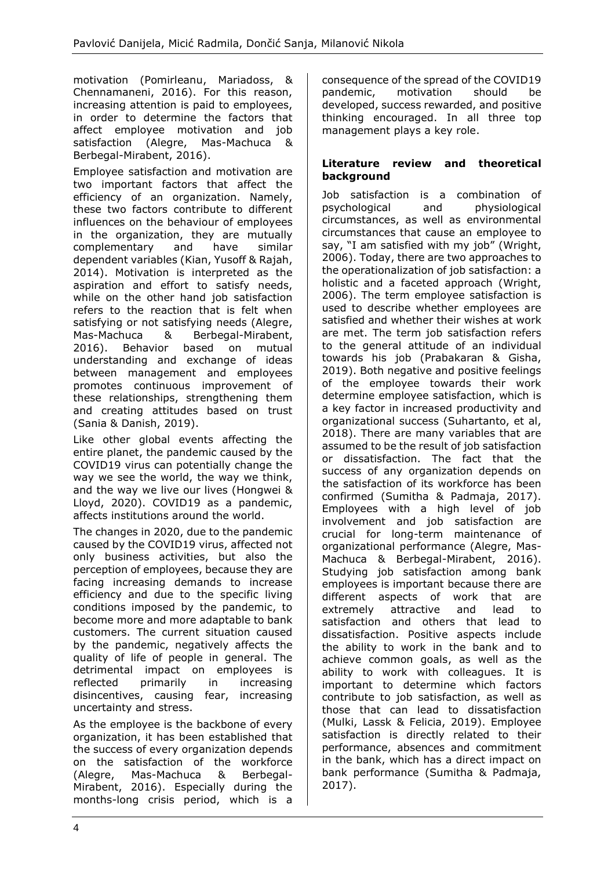motivation (Pomirleanu, Mariadoss, & Chennamaneni, 2016). For this reason, increasing attention is paid to employees, in order to determine the factors that affect employee motivation and job satisfaction (Alegre, Mas-Machuca & Berbegal-Mirabent, 2016).

Employee satisfaction and motivation are two important factors that affect the efficiency of an organization. Namely, these two factors contribute to different influences on the behaviour of employees in the organization, they are mutually complementary and have similar dependent variables (Kian, Yusoff & Rajah, 2014). Motivation is interpreted as the aspiration and effort to satisfy needs, while on the other hand job satisfaction refers to the reaction that is felt when satisfying or not satisfying needs (Alegre, Mas-Machuca & Berbegal-Mirabent, 2016). Behavior based on mutual understanding and exchange of ideas between management and employees promotes continuous improvement of these relationships, strengthening them and creating attitudes based on trust (Sania & Danish, 2019).

Like other global events affecting the entire planet, the pandemic caused by the COVID19 virus can potentially change the way we see the world, the way we think, and the way we live our lives (Hongwei & Lloyd, 2020). COVID19 as a pandemic, affects institutions around the world.

The changes in 2020, due to the pandemic caused by the COVID19 virus, affected not only business activities, but also the perception of employees, because they are facing increasing demands to increase efficiency and due to the specific living conditions imposed by the pandemic, to become more and more adaptable to bank customers. The current situation caused by the pandemic, negatively affects the quality of life of people in general. The detrimental impact on employees is reflected primarily in increasing disincentives, causing fear, increasing uncertainty and stress.

As the employee is the backbone of every organization, it has been established that the success of every organization depends on the satisfaction of the workforce (Alegre, Mas-Machuca & Berbegal-Mirabent, 2016). Especially during the months-long crisis period, which is a consequence of the spread of the COVID19 pandemic, motivation should be developed, success rewarded, and positive thinking encouraged. In all three top management plays a key role.

### **Literature review and theoretical background**

Job satisfaction is a combination of psychological and physiological circumstances, as well as environmental circumstances that cause an employee to say, "I am satisfied with my job" (Wright, 2006). Today, there are two approaches to the operationalization of job satisfaction: a holistic and a faceted approach (Wright, 2006). The term employee satisfaction is used to describe whether employees are satisfied and whether their wishes at work are met. The term job satisfaction refers to the general attitude of an individual towards his job (Prabakaran & Gisha, 2019). Both negative and positive feelings of the employee towards their work determine employee satisfaction, which is a key factor in increased productivity and organizational success (Suhartanto, et al, 2018). There are many variables that are assumed to be the result of job satisfaction or dissatisfaction. The fact that the success of any organization depends on the satisfaction of its workforce has been confirmed (Sumitha & Padmaja, 2017). Employees with a high level of job involvement and job satisfaction are crucial for long-term maintenance of organizational performance (Alegre, Mas-Machuca & Berbegal-Mirabent, 2016). Studying job satisfaction among bank employees is important because there are different aspects of work that are extremely attractive and lead to satisfaction and others that lead to dissatisfaction. Positive aspects include the ability to work in the bank and to achieve common goals, as well as the ability to work with colleagues. It is important to determine which factors contribute to job satisfaction, as well as those that can lead to dissatisfaction (Mulki, Lassk & Felicia, 2019). Employee satisfaction is directly related to their performance, absences and commitment in the bank, which has a direct impact on bank performance (Sumitha & Padmaja, 2017).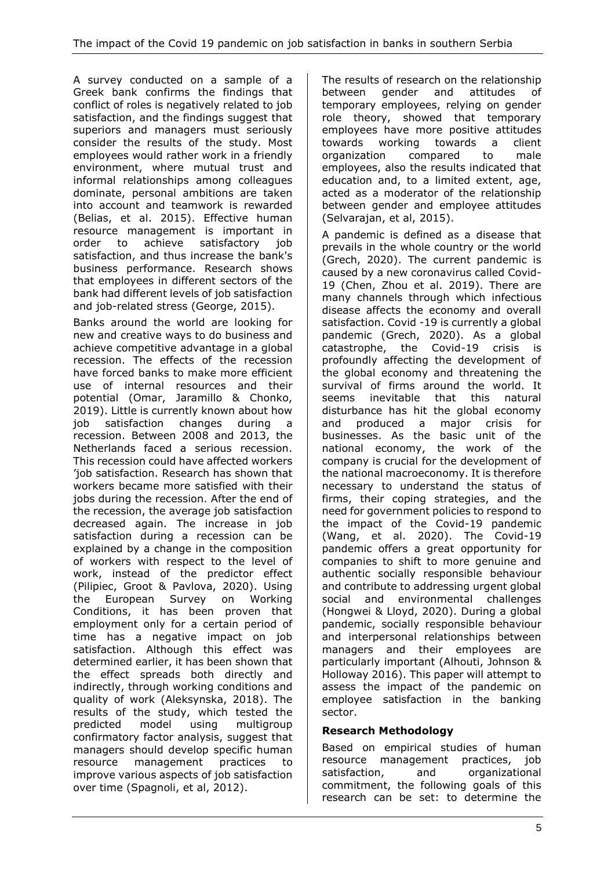A survey conducted on a sample of a Greek bank confirms the findings that conflict of roles is negatively related to job satisfaction, and the findings suggest that superiors and managers must seriously consider the results of the study. Most employees would rather work in a friendly environment, where mutual trust and informal relationships among colleagues dominate, personal ambitions are taken into account and teamwork is rewarded (Belias, et al. 2015). Effective human resource management is important in order to achieve satisfactory job satisfaction, and thus increase the bank's business performance. Research shows that employees in different sectors of the bank had different levels of job satisfaction and job-related stress (George, 2015).

Banks around the world are looking for new and creative ways to do business and achieve competitive advantage in a global recession. The effects of the recession have forced banks to make more efficient use of internal resources and their potential (Omar, Jaramillo & Chonko, 2019). Little is currently known about how job satisfaction changes during a recession. Between 2008 and 2013, the Netherlands faced a serious recession. This recession could have affected workers 'job satisfaction. Research has shown that workers became more satisfied with their jobs during the recession. After the end of the recession, the average job satisfaction decreased again. The increase in job satisfaction during a recession can be explained by a change in the composition of workers with respect to the level of work, instead of the predictor effect (Pilipiec, Groot & Pavlova, 2020). Using the European Survey on Working Conditions, it has been proven that employment only for a certain period of time has a negative impact on job satisfaction. Although this effect was determined earlier, it has been shown that the effect spreads both directly and indirectly, through working conditions and quality of work (Aleksynska, 2018). The results of the study, which tested the predicted model using multigroup confirmatory factor analysis, suggest that managers should develop specific human resource management practices to improve various aspects of job satisfaction over time (Spagnoli, et al, 2012).

The results of research on the relationship between gender and attitudes of temporary employees, relying on gender role theory, showed that temporary employees have more positive attitudes towards working towards a client organization compared to male employees, also the results indicated that education and, to a limited extent, age, acted as a moderator of the relationship between gender and employee attitudes (Selvarajan, et al, 2015).

A pandemic is defined as a disease that prevails in the whole country or the world (Grech, 2020). The current pandemic is caused by a new coronavirus called Covid-19 (Chen, Zhou et al. 2019). There are many channels through which infectious disease affects the economy and overall satisfaction. Covid -19 is currently a global pandemic (Grech, 2020). As a global catastrophe, the Covid-19 crisis is profoundly affecting the development of the global economy and threatening the survival of firms around the world. It seems inevitable that this natural disturbance has hit the global economy and produced a major crisis for businesses. As the basic unit of the national economy, the work of the company is crucial for the development of the national macroeconomy. It is therefore necessary to understand the status of firms, their coping strategies, and the need for government policies to respond to the impact of the Covid-19 pandemic (Wang, et al. 2020). The Covid-19 pandemic offers a great opportunity for companies to shift to more genuine and authentic socially responsible behaviour and contribute to addressing urgent global social and environmental challenges (Hongwei & Lloyd, 2020). During a global pandemic, socially responsible behaviour and interpersonal relationships between managers and their employees are particularly important (Alhouti, Johnson & Holloway 2016). This paper will attempt to assess the impact of the pandemic on employee satisfaction in the banking sector.

# **Research Methodology**

Based on empirical studies of human resource management practices, job satisfaction, and organizational commitment, the following goals of this research can be set: to determine the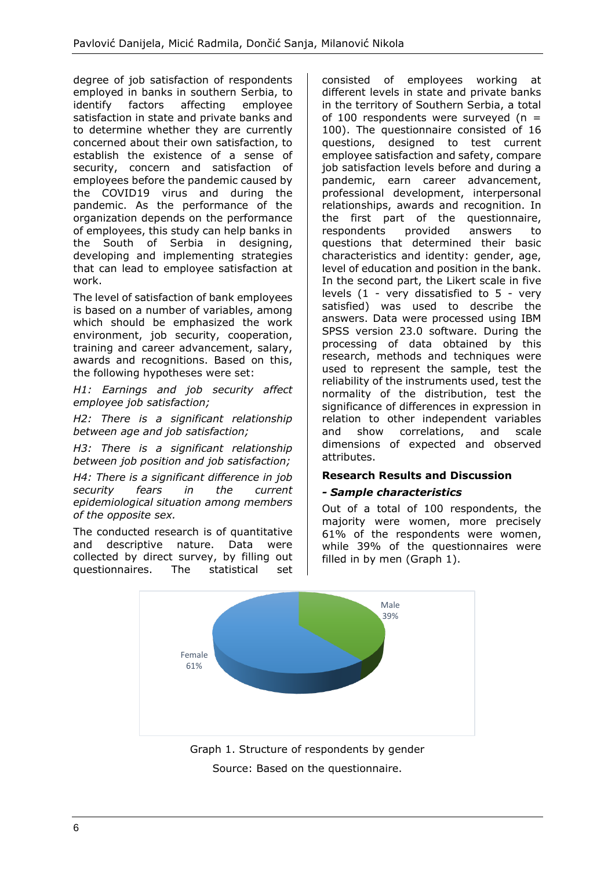degree of job satisfaction of respondents employed in banks in southern Serbia, to identify factors affecting employee satisfaction in state and private banks and to determine whether they are currently concerned about their own satisfaction, to establish the existence of a sense of security, concern and satisfaction of employees before the pandemic caused by the COVID19 virus and during the pandemic. As the performance of the organization depends on the performance of employees, this study can help banks in the South of Serbia in designing, developing and implementing strategies that can lead to employee satisfaction at work.

The level of satisfaction of bank employees is based on a number of variables, among which should be emphasized the work environment, job security, cooperation, training and career advancement, salary, awards and recognitions. Based on this, the following hypotheses were set:

*H1: Earnings and job security affect employee job satisfaction;*

*H2: There is a significant relationship between age and job satisfaction;*

*H3: There is a significant relationship between job position and job satisfaction;*

*H4: There is a significant difference in job security fears in the current epidemiological situation among members of the opposite sex.*

The conducted research is of quantitative and descriptive nature. Data were collected by direct survey, by filling out questionnaires. The statistical set consisted of employees working at different levels in state and private banks in the territory of Southern Serbia, a total of 100 respondents were surveyed ( $n =$ 100). The questionnaire consisted of 16 questions, designed to test current employee satisfaction and safety, compare job satisfaction levels before and during a pandemic, earn career advancement, professional development, interpersonal relationships, awards and recognition. In the first part of the questionnaire, respondents provided answers to questions that determined their basic characteristics and identity: gender, age, level of education and position in the bank. In the second part, the Likert scale in five levels (1 - very dissatisfied to 5 - very satisfied) was used to describe the answers. Data were processed using IBM SPSS version 23.0 software. During the processing of data obtained by this research, methods and techniques were used to represent the sample, test the reliability of the instruments used, test the normality of the distribution, test the significance of differences in expression in relation to other independent variables and show correlations, and scale dimensions of expected and observed attributes.

### **Research Results and Discussion**

### *- Sample characteristics*

Out of a total of 100 respondents, the majority were women, more precisely 61% of the respondents were women, while 39% of the questionnaires were filled in by men (Graph 1).



Source: Based on the questionnaire.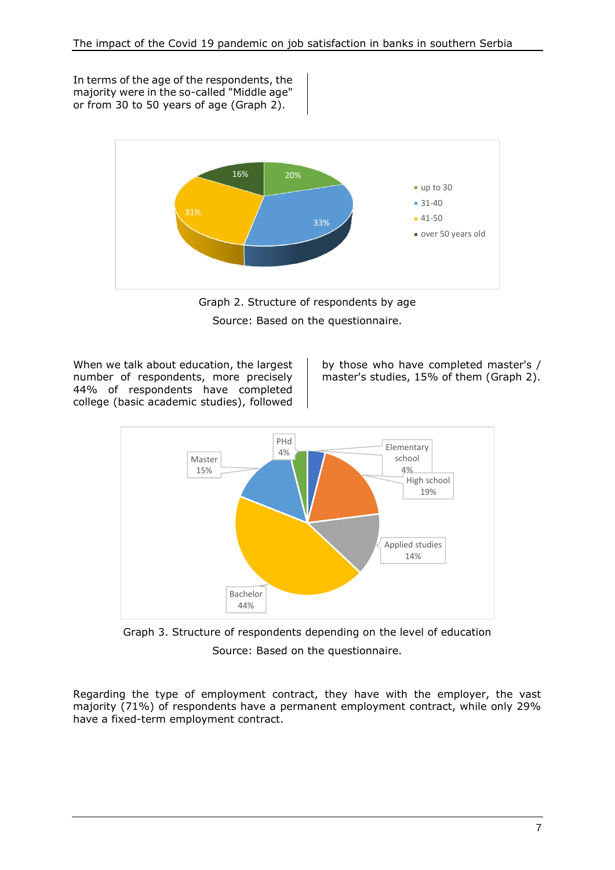In terms of the age of the respondents, the majority were in the so-called "Middle age" or from 30 to 50 years of age (Graph 2).



Graph 2. Structure of respondents by age Source: Based on the questionnaire.

When we talk about education, the largest number of respondents, more precisely 44% of respondents have completed college (basic academic studies), followed

by those who have completed master's / master's studies, 15% of them (Graph 2).



Graph 3. Structure of respondents depending on the level of education Source: Based on the questionnaire.

Regarding the type of employment contract, they have with the employer, the vast majority (71%) of respondents have a permanent employment contract, while only 29% have a fixed-term employment contract.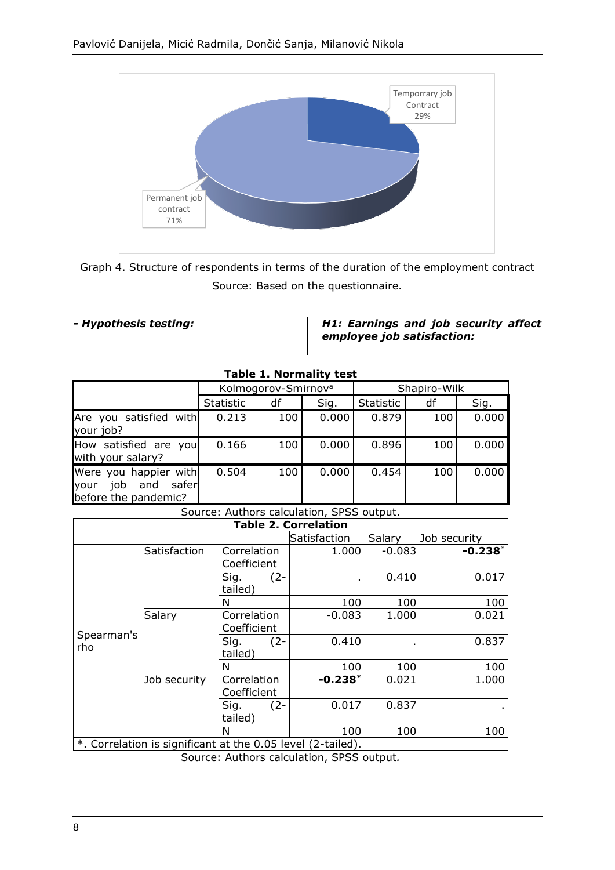

Graph 4. Structure of respondents in terms of the duration of the employment contract Source: Based on the questionnaire.

*- Hypothesis testing: H1: Earnings and job security affect employee job satisfaction:*

|                                                                              | Kolmogorov-Smirnov <sup>a</sup> |     |       | Shapiro-Wilk |     |       |  |
|------------------------------------------------------------------------------|---------------------------------|-----|-------|--------------|-----|-------|--|
|                                                                              | Statistic                       | df  | Sig.  | Statistic    | df  | Sig.  |  |
| Are you satisfied with<br>your job?                                          | 0.213                           | 100 | 0.000 | 0.879        | 100 | 0.000 |  |
| How satisfied are you<br>with your salary?                                   | 0.166                           | 100 | 0.000 | 0.896        | 100 | 0.000 |  |
| Were you happier with<br>job<br>and<br>safer<br>vour<br>before the pandemic? | 0.504                           | 100 | 0.000 | 0.454        | 100 | 0.000 |  |

### **Table 1. Normality test**

### Source: Authors calculation, SPSS output.

| <b>Table 2. Correlation</b> |                                                             |                            |              |          |              |  |  |  |  |
|-----------------------------|-------------------------------------------------------------|----------------------------|--------------|----------|--------------|--|--|--|--|
|                             |                                                             |                            | Satisfaction | Salary   | Job security |  |  |  |  |
|                             | Satisfaction                                                | Correlation<br>Coefficient | 1.000        | $-0.083$ | $-0.238*$    |  |  |  |  |
| Spearman's<br>rho           |                                                             | Sig.<br>$(2 -$<br>tailed)  |              | 0.410    | 0.017        |  |  |  |  |
|                             |                                                             | N                          | 100          | 100      | 100          |  |  |  |  |
|                             | Salary                                                      | Correlation<br>Coefficient | $-0.083$     | 1.000    | 0.021        |  |  |  |  |
|                             |                                                             | Sig.<br>$(2 -$<br>tailed)  | 0.410        |          | 0.837        |  |  |  |  |
|                             |                                                             | N                          | 100          | 100      | 100          |  |  |  |  |
|                             | Job security                                                | Correlation<br>Coefficient | $-0.238*$    | 0.021    | 1.000        |  |  |  |  |
|                             |                                                             | Sig.<br>$(2 -$<br>tailed)  | 0.017        | 0.837    |              |  |  |  |  |
|                             |                                                             | N                          | 100          | 100      | 100          |  |  |  |  |
|                             | *. Correlation is significant at the 0.05 level (2-tailed). |                            |              |          |              |  |  |  |  |

Source: Authors calculation, SPSS output*.*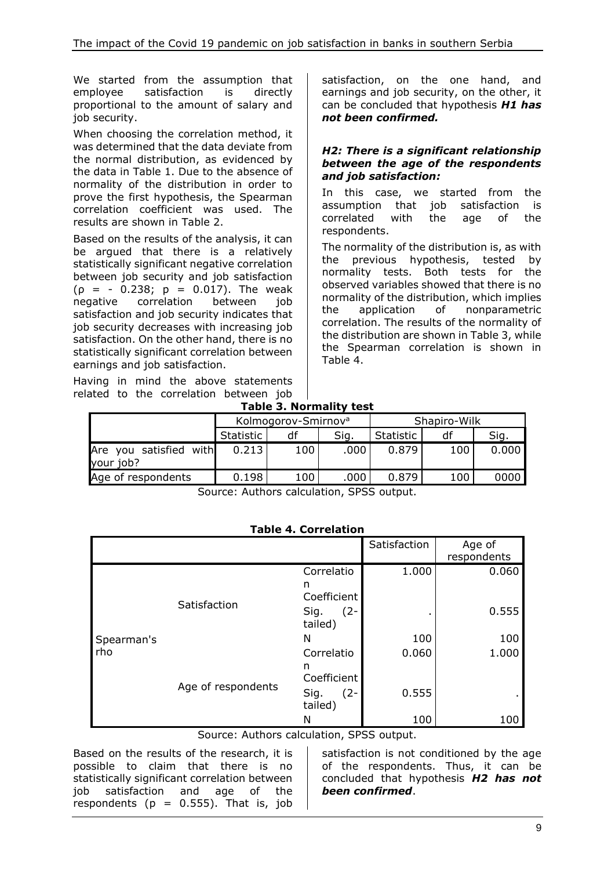We started from the assumption that employee satisfaction is directly proportional to the amount of salary and job security.

When choosing the correlation method, it was determined that the data deviate from the normal distribution, as evidenced by the data in Table 1. Due to the absence of normality of the distribution in order to prove the first hypothesis, the Spearman correlation coefficient was used. The results are shown in Table 2.

Based on the results of the analysis, it can be argued that there is a relatively statistically significant negative correlation between job security and job satisfaction  $(p = -0.238; p = 0.017)$ . The weak negative correlation between job satisfaction and job security indicates that job security decreases with increasing job satisfaction. On the other hand, there is no statistically significant correlation between earnings and job satisfaction.

Having in mind the above statements related to the correlation between job satisfaction, on the one hand, and earnings and job security, on the other, it can be concluded that hypothesis *H1 has not been confirmed.*

### *H2: There is a significant relationship between the age of the respondents and job satisfaction:*

In this case, we started from the assumption that job satisfaction is correlated with the age of the respondents.

The normality of the distribution is, as with the previous hypothesis, tested by normality tests. Both tests for the observed variables showed that there is no normality of the distribution, which implies the application of nonparametric correlation. The results of the normality of the distribution are shown in Table 3, while the Spearman correlation is shown in Table 4.

| . |                                |  |
|---|--------------------------------|--|
|   | <b>Table 3. Normality test</b> |  |

|                                     |           | Kolmogorov-Smirnov <sup>a</sup> |      | Shapiro-Wilk |     |       |  |
|-------------------------------------|-----------|---------------------------------|------|--------------|-----|-------|--|
|                                     | Statistic |                                 | Sig. | Statistic    | df  | Sig.  |  |
| Are you satisfied with<br>your job? | 0.213     | 100                             | .000 | 0.879        | 100 | 0.000 |  |
| Age of respondents                  | 0.198     | 100                             | 000  | 0.879        | 100 | 0000  |  |
|                                     |           |                                 |      |              |     |       |  |

Source: Authors calculation, SPSS output.

### **Table 4. Correlation**

|            |                    |                           | Satisfaction | Age of<br>respondents |
|------------|--------------------|---------------------------|--------------|-----------------------|
|            |                    | Correlatio<br>n           | 1.000        | 0.060                 |
|            |                    | Coefficient               |              |                       |
|            | Satisfaction       | $(2 -$<br>Sig.<br>tailed) |              | 0.555                 |
| Spearman's |                    | N                         | 100          | 100                   |
| rho        | Age of respondents | Correlatio                | 0.060        | 1.000                 |
|            |                    | n<br>Coefficient          |              |                       |
|            |                    | Sig.<br>$(2 -$<br>tailed) | 0.555        | ٠                     |
|            |                    | Ν                         | 100          | 100                   |

Source: Authors calculation, SPSS output.

Based on the results of the research, it is possible to claim that there is no statistically significant correlation between job satisfaction and age of the respondents ( $p = 0.555$ ). That is, job

satisfaction is not conditioned by the age of the respondents. Thus, it can be concluded that hypothesis *H2 has not been confirmed*.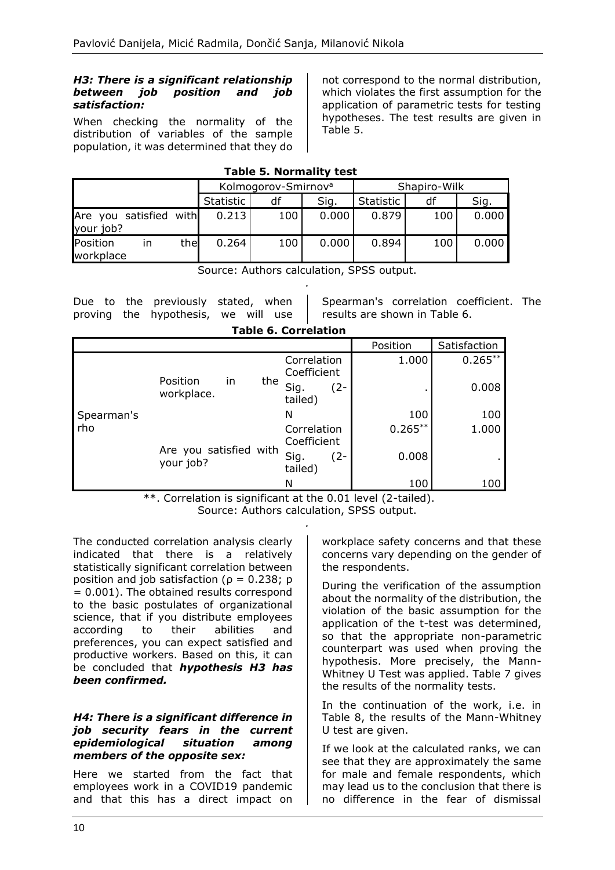### *H3: There is a significant relationship between job position and job satisfaction:*

When checking the normality of the distribution of variables of the sample population, it was determined that they do not correspond to the normal distribution, which violates the first assumption for the application of parametric tests for testing hypotheses. The test results are given in Table 5.

| <b>Table 5. Normality test</b> |  |
|--------------------------------|--|
|--------------------------------|--|

|                                     | Kolmogorov-Smirnov <sup>a</sup> |     |       | Shapiro-Wilk |     |       |
|-------------------------------------|---------------------------------|-----|-------|--------------|-----|-------|
|                                     | Statistic                       | df  | Sig.  | Statistic    | df  | Sig.  |
| Are you satisfied with<br>your job? | 0.213                           | 100 | 0.000 | 0.879        | 100 | 0.000 |
| Position<br>the<br>ın<br>workplace  | 0.264                           | 100 | 0.000 | 0.894        | 100 | 0.000 |

Source: Authors calculation, SPSS output. *.*

Due to the previously stated, when proving the hypothesis, we will use Spearman's correlation coefficient. The results are shown in Table 6.

|  | <b>Table 6. Correlation</b> |
|--|-----------------------------|
|  |                             |
|  |                             |

|                                            |                                     |             |             | Position   | Satisfaction |
|--------------------------------------------|-------------------------------------|-------------|-------------|------------|--------------|
|                                            |                                     |             | Correlation | 1.000      | $0.265***$   |
|                                            |                                     |             | Coefficient |            |              |
| in<br>Position<br>workplace.<br>Spearman's | the                                 | Sig.<br>(2- |             | 0.008      |              |
|                                            |                                     |             | tailed)     |            |              |
|                                            |                                     |             | N           | 100        | 100          |
| rho                                        |                                     |             | Correlation | $0.265***$ | 1.000        |
|                                            |                                     |             | Coefficient |            |              |
|                                            | Are you satisfied with<br>your job? |             | Sig.<br>(2- | 0.008      |              |
|                                            |                                     |             | tailed)     |            |              |
|                                            |                                     |             | N           | 100        | 100          |

\*\*. Correlation is significant at the 0.01 level (2-tailed).

Source: Authors calculation, SPSS output. *.*

The conducted correlation analysis clearly indicated that there is a relatively statistically significant correlation between position and job satisfaction ( $\rho = 0.238$ ; p = 0.001). The obtained results correspond to the basic postulates of organizational science, that if you distribute employees according to their abilities and preferences, you can expect satisfied and productive workers. Based on this, it can be concluded that *hypothesis H3 has been confirmed.*

### *H4: There is a significant difference in job security fears in the current epidemiological situation among members of the opposite sex:*

Here we started from the fact that employees work in a COVID19 pandemic and that this has a direct impact on

workplace safety concerns and that these concerns vary depending on the gender of the respondents.

During the verification of the assumption about the normality of the distribution, the violation of the basic assumption for the application of the t-test was determined, so that the appropriate non-parametric counterpart was used when proving the hypothesis. More precisely, the Mann-Whitney U Test was applied. Table 7 gives the results of the normality tests.

In the continuation of the work, i.e. in Table 8, the results of the Mann-Whitney U test are given.

If we look at the calculated ranks, we can see that they are approximately the same for male and female respondents, which may lead us to the conclusion that there is no difference in the fear of dismissal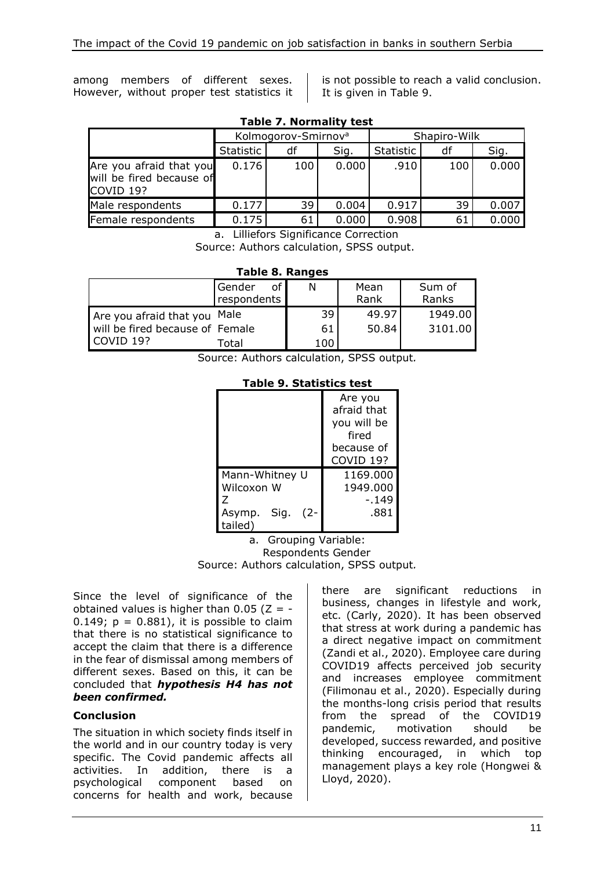among members of different sexes. However, without proper test statistics it is not possible to reach a valid conclusion. It is given in Table 9.

| rabic 7. Normanty test                                                      |           |                                 |       |              |     |       |  |  |  |
|-----------------------------------------------------------------------------|-----------|---------------------------------|-------|--------------|-----|-------|--|--|--|
|                                                                             |           | Kolmogorov-Smirnov <sup>a</sup> |       | Shapiro-Wilk |     |       |  |  |  |
|                                                                             | Statistic | df                              | Sig.  | Statistic    | df  | Sig.  |  |  |  |
| Are you afraid that you<br>will be fired because of<br>COVID <sub>19?</sub> | 0.176     | 100                             | 0.000 | .910         | 100 | 0.000 |  |  |  |
| Male respondents                                                            | 0.177     | 39                              | 0.004 | 0.917        | 39  | 0.007 |  |  |  |
| Female respondents                                                          | 0.175     | 61                              | 0.000 | 0.908        | 61  | 0.000 |  |  |  |

**Table 7. Normality test**

a. Lilliefors Significance Correction Source: Authors calculation, SPSS output.

| Table 8. Ranges |  |
|-----------------|--|
|-----------------|--|

|                                 | Gender<br>of<br>respondents | N   | Mean<br>Rank | Sum of<br>Ranks |
|---------------------------------|-----------------------------|-----|--------------|-----------------|
| Are you afraid that you Male    |                             | 39  | 49.97        | 1949.00         |
| will be fired because of Female |                             | 61  | 50.84        | 3101.00         |
| COVID 192                       | Гоtal                       | 100 |              |                 |

Source: Authors calculation, SPSS output*.*

**Table 9. Statistics test**

|                                  | Are you<br>afraid that<br>you will be<br>fired<br>because of<br>COVID 19? |
|----------------------------------|---------------------------------------------------------------------------|
| Mann-Whitney U<br>Wilcoxon W     | 1169.000<br>1949.000                                                      |
| Z                                | -.149                                                                     |
| Sig.<br>(2-<br>Asymp.<br>tailed) | .881                                                                      |

a. Grouping Variable: Respondents Gender Source: Authors calculation, SPSS output*.*

Since the level of significance of the obtained values is higher than  $0.05$  ( $Z = -$ 0.149;  $p = 0.881$ ), it is possible to claim that there is no statistical significance to accept the claim that there is a difference in the fear of dismissal among members of different sexes. Based on this, it can be concluded that *hypothesis H4 has not been confirmed.*

### **Conclusion**

The situation in which society finds itself in the world and in our country today is very specific. The Covid pandemic affects all activities. In addition, there is a psychological component based on concerns for health and work, because there are significant reductions in business, changes in lifestyle and work, etc. (Carly, 2020). It has been observed that stress at work during a pandemic has a direct negative impact on commitment (Zandi et al., 2020). Employee care during COVID19 affects perceived job security and increases employee commitment (Filimonau et al., 2020). Especially during the months-long crisis period that results from the spread of the COVID19 pandemic, motivation should be developed, success rewarded, and positive thinking encouraged, in which top management plays a key role (Hongwei & Lloyd, 2020).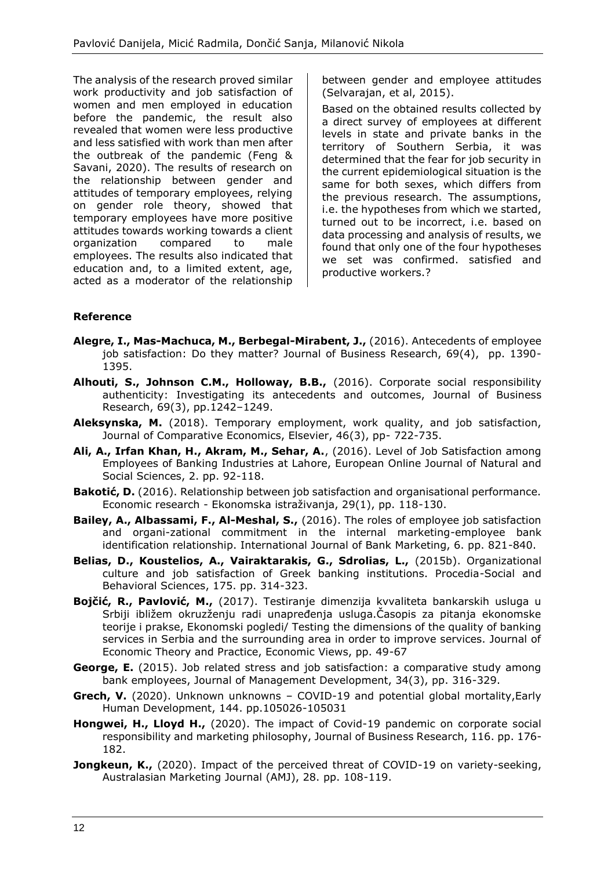The analysis of the research proved similar work productivity and job satisfaction of women and men employed in education before the pandemic, the result also revealed that women were less productive and less satisfied with work than men after the outbreak of the pandemic (Feng & Savani, 2020). The results of research on the relationship between gender and attitudes of temporary employees, relying on gender role theory, showed that temporary employees have more positive attitudes towards working towards a client organization compared to male employees. The results also indicated that education and, to a limited extent, age, acted as a moderator of the relationship between gender and employee attitudes (Selvarajan, et al, 2015).

Based on the obtained results collected by a direct survey of employees at different levels in state and private banks in the territory of Southern Serbia, it was determined that the fear for job security in the current epidemiological situation is the same for both sexes, which differs from the previous research. The assumptions, i.e. the hypotheses from which we started, turned out to be incorrect, i.e. based on data processing and analysis of results, we found that only one of the four hypotheses we set was confirmed. satisfied and productive workers.?

### **Reference**

- **Alegre, I., Mas-Machuca, M., Berbegal-Mirabent, J.,** (2016). Antecedents of employee job satisfaction: Do they matter? Journal of Business Research, 69(4), pp. 1390- 1395.
- **Alhouti, S., Johnson C.M., Holloway, B.B.,** (2016). Corporate social responsibility authenticity: Investigating its antecedents and outcomes, Journal of Business Research, 69(3), pp.1242–1249.
- **Aleksynska, M.** (2018). Temporary employment, work quality, and job satisfaction, Journal of Comparative Economics, Elsevier, 46(3), pp- 722-735.
- **Ali, A., Irfan Khan, H., Akram, M., Sehar, A.**, (2016). Level of Job Satisfaction among Employees of Banking Industries at Lahore, European Online Journal of Natural and Social Sciences, 2. pp. 92-118.
- **Bakotić, D.** (2016). Relationship between job satisfaction and organisational performance. Economic research - Ekonomska istraživanja, 29(1), pp. 118-130.
- **Bailey, A., Albassami, F., Al-Meshal, S.,** (2016). The roles of employee job satisfaction and organi-zational commitment in the internal marketing-employee bank identification relationship. International Journal of Bank Marketing, 6. pp. 821-840.
- **Belias, D., Koustelios, A., Vairaktarakis, G., Sdrolias, L.,** (2015b). Organizational culture and job satisfaction of Greek banking institutions. Procedia-Social and Behavioral Sciences, 175. pp. 314-323.
- **Bojčić, R., Pavlović, M.,** (2017). Testiranje dimenzija kvvaliteta bankarskih usluga u Srbiji ibližem okruzženju radi unapređenja usluga.Časopis za pitanja ekonomske teorije i prakse, Ekonomski pogledi/ Testing the dimensions of the quality of banking services in Serbia and the surrounding area in order to improve services. Journal of Economic Theory and Practice, Economic Views, pp. 49-67
- **George, E.** (2015). Job related stress and job satisfaction: a comparative study among bank employees, Journal of Management Development, 34(3), pp. 316-329.
- **Grech, V.** (2020). Unknown unknowns COVID-19 and potential global mortality,Early Human Development, 144. pp.105026-105031
- **Hongwei, H., Lloyd H.,** (2020). The impact of Covid-19 pandemic on corporate social responsibility and marketing philosophy, Journal of Business Research, 116. pp. 176- 182.
- **Jongkeun, K.,** (2020). Impact of the perceived threat of COVID-19 on variety-seeking, Australasian Marketing Journal (AMJ), 28. pp. 108-119.